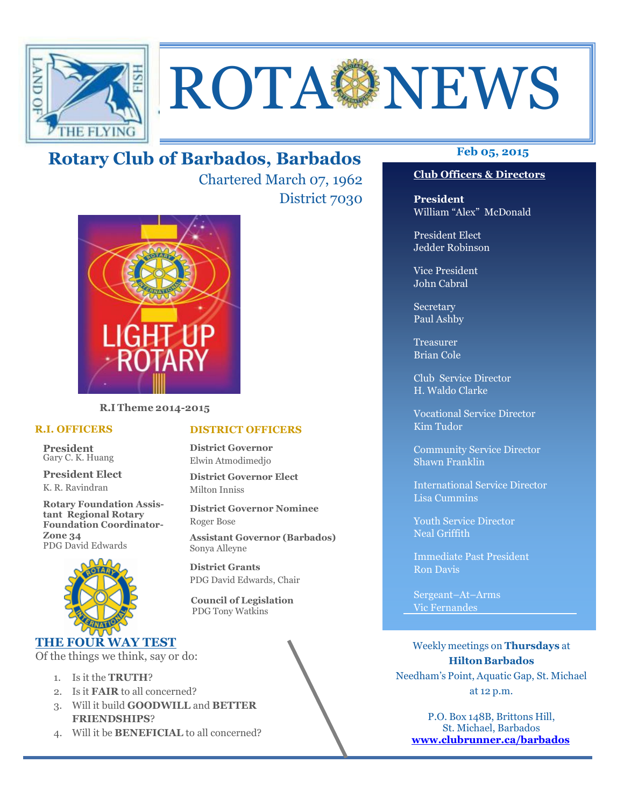

# ROTA NEWS

## **Feb 05, 2015 Rotary Club of Barbados, Barbados**

Chartered March 07, 1962 District 7030



**R.I Theme 2014-2015** 

#### **R.I. OFFICERS**

**President** Gary C. K. Huang

**President Elect** K. R. Ravindran

**Rotary Foundation Assistant Regional Rotary Foundation Coordinator-Zone 34**  PDG David Edwards



#### **THE FOUR WAY TEST**

Of the things we think, say or do:

- 1. Is it the **TRUTH**?
- 2. Is it **FAIR** to all concerned?
- 3. Will it build **GOODWILL** and **BETTER FRIENDSHIPS**?
- 4. Will it be **BENEFICIAL** to all concerned?

#### **Club Officers & Directors**

**President** William "Alex" McDonald

President Elect Jedder Robinson

Vice President John Cabral

Secretary Paul Ashby

Treasurer Brian Cole

Club Service Director H. Waldo Clarke

Vocational Service Director Kim Tudor

Community Service Director Shawn Franklin

International Service Director Lisa Cummins

Youth Service Director Neal Griffith

Immediate Past President Ron Davis

Sergeant–At–Arms Vic Fernandes

Weekly meetings on **Thursdays** at **Hilton Barbados** Needham's Point, Aquatic Gap, St. Michael at 12 p.m.

P.O. Box 148B, Brittons Hill, St. Michael, Barbados **www.clubrunner.ca/barbados**

#### **DISTRICT OFFICERS**

**District Governor** Elwin Atmodimedjo

**District Governor Elect** Milton Inniss

**District Governor Nominee**  Roger Bose

**Assistant Governor (Barbados)** Sonya Alleyne

**District Grants**  PDG David Edwards, Chair

 **Council of Legislation**  PDG Tony Watkins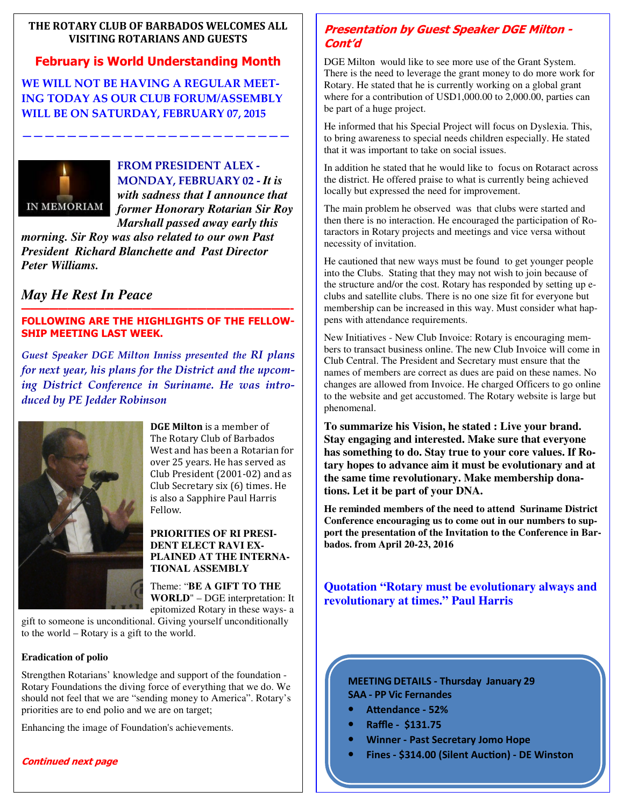#### **THE ROTARY CLUB OF BARBADOS WELCOMES ALL VISITING ROTARIANS AND GUESTS**

#### **February is World Understanding Month**

**WE WILL NOT BE HAVING A REGULAR MEET-ING TODAY AS OUR CLUB FORUM/ASSEMBLY WILL BE ON SATURDAY, FEBRUARY 07, 2015** 

**————————————————————————** 



**FROM PRESIDENT ALEX - MONDAY, FEBRUARY 02 -** *It is with sadness that I announce that former Honorary Rotarian Sir Roy Marshall passed away early this* 

*morning. Sir Roy was also related to our own Past President Richard Blanchette and Past Director Peter Williams.* 

*May He Rest In Peace* 

#### **—————————————————————————————- FOLLOWING ARE THE HIGHLIGHTS OF THE FELLOW-SHIP MEETING LAST WEEK.**

*Guest Speaker DGE Milton Inniss presented the RI plans for next year, his plans for the District and the upcoming District Conference in Suriname. He was introduced by PE Jedder Robinson* 



**DGE Milton** is a member of The Rotary Club of Barbados West and has been a Rotarian for over 25 years. He has served as Club President (2001-02) and as Club Secretary six (6) times. He is also a Sapphire Paul Harris Fellow. 

#### **PRIORITIES OF RI PRESI-DENT ELECT RAVI EX-PLAINED AT THE INTERNA-TIONAL ASSEMBLY**

Theme: "**BE A GIFT TO THE WORLD**" – DGE interpretation: It epitomized Rotary in these ways- a

gift to someone is unconditional. Giving yourself unconditionally to the world – Rotary is a gift to the world.

#### **Eradication of polio**

Strengthen Rotarians' knowledge and support of the foundation - Rotary Foundations the diving force of everything that we do. We should not feel that we are "sending money to America". Rotary's priorities are to end polio and we are on target;

Enhancing the image of Foundation's achievements.

### **Continued next page**

#### **Presentation by Guest Speaker DGE Milton - Cont'd**

DGE Milton would like to see more use of the Grant System. There is the need to leverage the grant money to do more work for Rotary. He stated that he is currently working on a global grant where for a contribution of USD1,000.00 to 2,000.00, parties can be part of a huge project.

He informed that his Special Project will focus on Dyslexia. This, to bring awareness to special needs children especially. He stated that it was important to take on social issues.

In addition he stated that he would like to focus on Rotaract across the district. He offered praise to what is currently being achieved locally but expressed the need for improvement.

The main problem he observed was that clubs were started and then there is no interaction. He encouraged the participation of Rotaractors in Rotary projects and meetings and vice versa without necessity of invitation.

He cautioned that new ways must be found to get younger people into the Clubs. Stating that they may not wish to join because of the structure and/or the cost. Rotary has responded by setting up eclubs and satellite clubs. There is no one size fit for everyone but membership can be increased in this way. Must consider what happens with attendance requirements.

New Initiatives - New Club Invoice: Rotary is encouraging members to transact business online. The new Club Invoice will come in Club Central. The President and Secretary must ensure that the names of members are correct as dues are paid on these names. No changes are allowed from Invoice. He charged Officers to go online to the website and get accustomed. The Rotary website is large but phenomenal.

**To summarize his Vision, he stated : Live your brand. Stay engaging and interested. Make sure that everyone has something to do. Stay true to your core values. If Rotary hopes to advance aim it must be evolutionary and at the same time revolutionary. Make membership donations. Let it be part of your DNA.** 

**He reminded members of the need to attend Suriname District Conference encouraging us to come out in our numbers to support the presentation of the Invitation to the Conference in Barbados. from April 20-23, 2016** 

**Quotation "Rotary must be evolutionary always and revolutionary at times." Paul Harris** 

**MEETING DETAILS - Thursday January 29 SAA - PP Vic Fernandes** 

- Attendance 52%
- **Raffle \$131.75**
- **Winner Past Secretary Jomo Hope**
- **Fines \$314.00 (Silent Auction) DE Winston**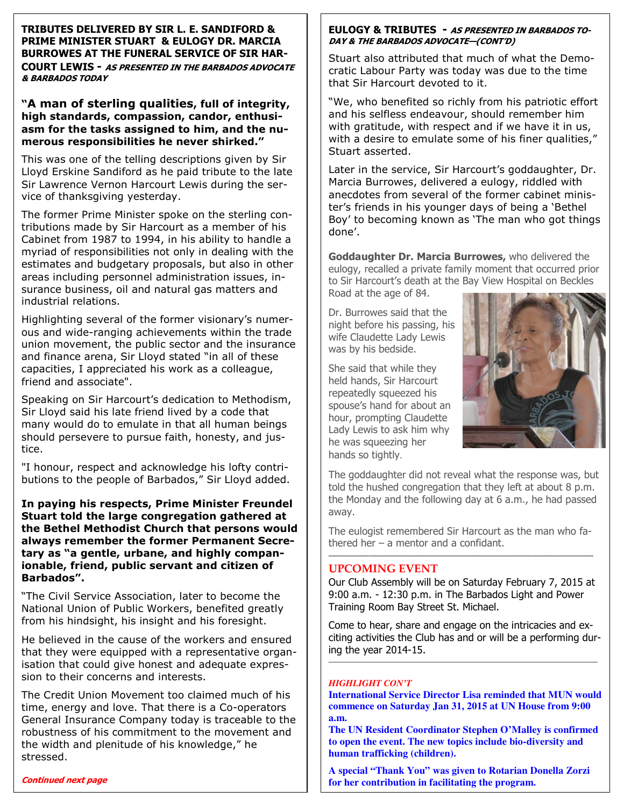**TRIBUTES DELIVERED BY SIR L. E. SANDIFORD & PRIME MINISTER STUART & EULOGY DR. MARCIA BURROWES AT THE FUNERAL SERVICE OF SIR HAR-COURT LEWIS - AS PRESENTED IN THE BARBADOS ADVOCATE & BARBADOS TODAY** 

**"A man of sterling qualities, full of integrity, high standards, compassion, candor, enthusiasm for the tasks assigned to him, and the numerous responsibilities he never shirked."** 

This was one of the telling descriptions given by Sir Lloyd Erskine Sandiford as he paid tribute to the late Sir Lawrence Vernon Harcourt Lewis during the service of thanksgiving yesterday.

The former Prime Minister spoke on the sterling contributions made by Sir Harcourt as a member of his Cabinet from 1987 to 1994, in his ability to handle a myriad of responsibilities not only in dealing with the estimates and budgetary proposals, but also in other areas including personnel administration issues, insurance business, oil and natural gas matters and industrial relations.

Highlighting several of the former visionary's numerous and wide-ranging achievements within the trade union movement, the public sector and the insurance and finance arena, Sir Lloyd stated "in all of these capacities, I appreciated his work as a colleague, friend and associate".

Speaking on Sir Harcourt's dedication to Methodism, Sir Lloyd said his late friend lived by a code that many would do to emulate in that all human beings should persevere to pursue faith, honesty, and justice.

"I honour, respect and acknowledge his lofty contributions to the people of Barbados," Sir Lloyd added.

**In paying his respects, Prime Minister Freundel Stuart told the large congregation gathered at the Bethel Methodist Church that persons would always remember the former Permanent Secretary as "a gentle, urbane, and highly companionable, friend, public servant and citizen of Barbados".** 

"The Civil Service Association, later to become the National Union of Public Workers, benefited greatly from his hindsight, his insight and his foresight.

He believed in the cause of the workers and ensured that they were equipped with a representative organisation that could give honest and adequate expression to their concerns and interests.

The Credit Union Movement too claimed much of his time, energy and love. That there is a Co-operators General Insurance Company today is traceable to the robustness of his commitment to the movement and the width and plenitude of his knowledge," he stressed.

#### **EULOGY & TRIBUTES - AS PRESENTED IN BARBADOS TO-DAY & THE BARBADOS ADVOCATE—(CONT'D)**

Stuart also attributed that much of what the Democratic Labour Party was today was due to the time that Sir Harcourt devoted to it.

"We, who benefited so richly from his patriotic effort and his selfless endeavour, should remember him with gratitude, with respect and if we have it in us, with a desire to emulate some of his finer qualities, Stuart asserted.

Later in the service, Sir Harcourt's goddaughter, Dr. Marcia Burrowes, delivered a eulogy, riddled with anecdotes from several of the former cabinet minister's friends in his younger days of being a 'Bethel Boy' to becoming known as 'The man who got things done'.

**Goddaughter Dr. Marcia Burrowes,** who delivered the eulogy, recalled a private family moment that occurred prior to Sir Harcourt's death at the Bay View Hospital on Beckles Road at the age of 84.

Dr. Burrowes said that the night before his passing, his wife Claudette Lady Lewis was by his bedside.

She said that while they held hands, Sir Harcourt repeatedly squeezed his spouse's hand for about an hour, prompting Claudette Lady Lewis to ask him why he was squeezing her hands so tightly.



The goddaughter did not reveal what the response was, but told the hushed congregation that they left at about 8 p.m. the Monday and the following day at 6 a.m., he had passed away.

The eulogist remembered Sir Harcourt as the man who fathered her – a mentor and a confidant. ——————————————————————————

#### **UPCOMING EVENT**

Our Club Assembly will be on Saturday February 7, 2015 at 9:00 a.m. - 12:30 p.m. in The Barbados Light and Power Training Room Bay Street St. Michael.

Come to hear, share and engage on the intricacies and exciting activities the Club has and or will be a performing during the year 2014-15. *—————————————————————————————————* 

#### *HIGHLIGHT CON'T*

**International Service Director Lisa reminded that MUN would commence on Saturday Jan 31, 2015 at UN House from 9:00 a.m.** 

**The UN Resident Coordinator Stephen O'Malley is confirmed to open the event. The new topics include bio-diversity and human trafficking (children).** 

**A special "Thank You" was given to Rotarian Donella Zorzi for her contribution in facilitating the program.**